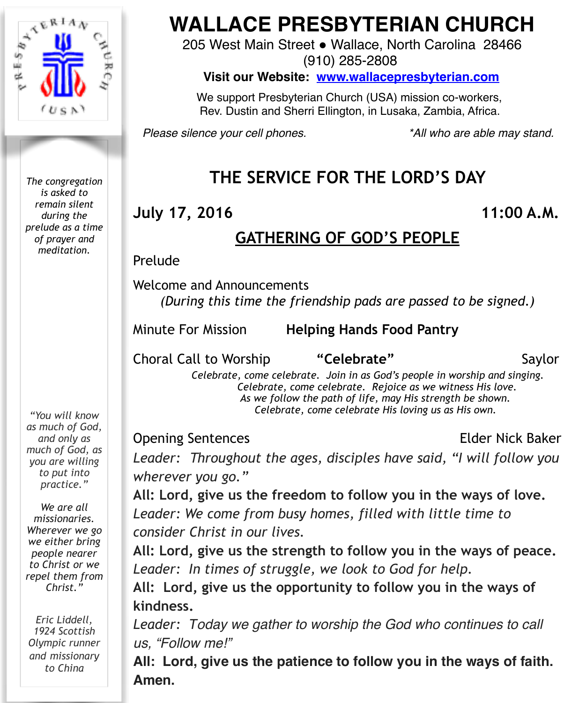

*The congregation is asked to remain silent during the prelude as a time of prayer and meditation.*

*"You will know as much of God, and only as much of God, as you are willing to put into practice."* 

*We are all missionaries. Wherever we go we either bring people nearer to Christ or we repel them from Christ."* 

*Eric Liddell, 1924 Scottish Olympic runner and missionary to China*

# **WALLACE PRESBYTERIAN CHURCH**

205 West Main Street . Wallace, North Carolina 28466

(910) 285-2808

**Visit our Website: [www.wallacepresbyterian.com](http://www.wallacepresbyterian.com)**

 We support Presbyterian Church (USA) mission co-workers, Rev. Dustin and Sherri Ellington, in Lusaka, Zambia, Africa.

*Please silence your cell phones. \*All who are able may stand.*

# **THE SERVICE FOR THE LORD'S DAY**

## **July 17, 2016 11:00 A.M.**

## **GATHERING OF GOD'S PEOPLE**

**Prelude** 

Welcome and Announcements *(During this time the friendship pads are passed to be signed.)* 

Minute For Mission **Helping Hands Food Pantry ! !** 

Choral Call to Worship **"Celebrate"** Saylor

 *Celebrate, come celebrate. Join in as God's people in worship and singing. Celebrate, come celebrate. Rejoice as we witness His love. As we follow the path of life, may His strength be shown. Celebrate, come celebrate His loving us as His own.* 

Opening Sentences **Elder Nick Baker** 

*Leader: Throughout the ages, disciples have said, "I will follow you wherever you go."*

**All: Lord, give us the freedom to follow you in the ways of love.** *Leader: We come from busy homes, filled with little time to consider Christ in our lives.*

**All: Lord, give us the strength to follow you in the ways of peace.** *Leader: In times of struggle, we look to God for help.*

**All: Lord, give us the opportunity to follow you in the ways of kindness.**

*Leader: Today we gather to worship the God who continues to call us, "Follow me!"*

**All: Lord, give us the patience to follow you in the ways of faith. Amen.**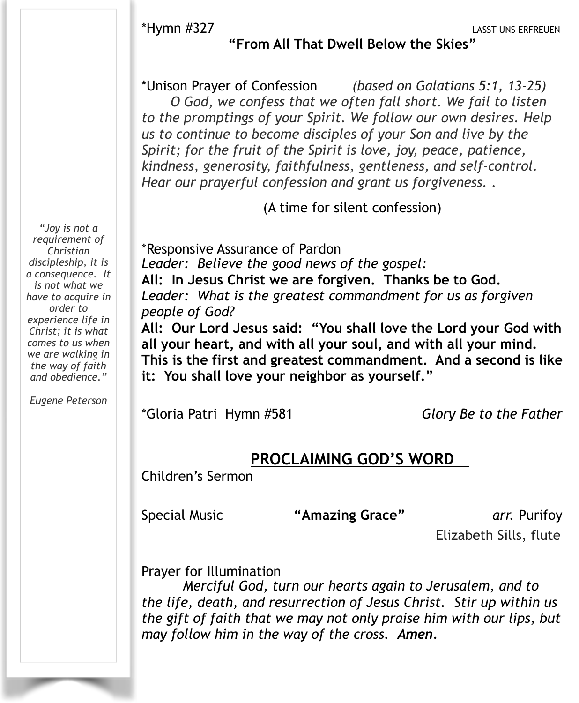\*Hymn #327 LASST UNS ERFREUEN

#### **"From All That Dwell Below the Skies"**

\*Unison Prayer of Confession *(based on Galatians 5:1, 13-25) O God, we confess that we often fall short. We fail to listen to the promptings of your Spirit. We follow our own desires. Help us to continue to become disciples of your Son and live by the Spirit; for the fruit of the Spirit is love, joy, peace, patience, kindness, generosity, faithfulness, gentleness, and self-control. Hear our prayerful confession and grant us forgiveness. .* 

(A time for silent confession)

\*Responsive Assurance of Pardon *Leader: Believe the good news of the gospel:*  **All: In Jesus Christ we are forgiven. Thanks be to God.**  *Leader: What is the greatest commandment for us as forgiven people of God?*  **All: Our Lord Jesus said: "You shall love the Lord your God with** 

**all your heart, and with all your soul, and with all your mind. This is the first and greatest commandment. And a second is like it: You shall love your neighbor as yourself."** 

\*Gloria Patri Hymn #581 *Glory Be to the Father*

### **PROCLAIMING GOD'S WORD**

Children's Sermon

Special Music **"Amazing Grace"** *arr.* Purifoy

Elizabeth Sills, flute

Prayer for Illumination

*Merciful God, turn our hearts again to Jerusalem, and to the life, death, and resurrection of Jesus Christ. Stir up within us the gift of faith that we may not only praise him with our lips, but may follow him in the way of the cross. Amen.*

*"Joy is not a requirement of Christian discipleship, it is a consequence. It is not what we have to acquire in order to experience life in Christ; it is what comes to us when we are walking in the way of faith and obedience."*

*Eugene Peterson*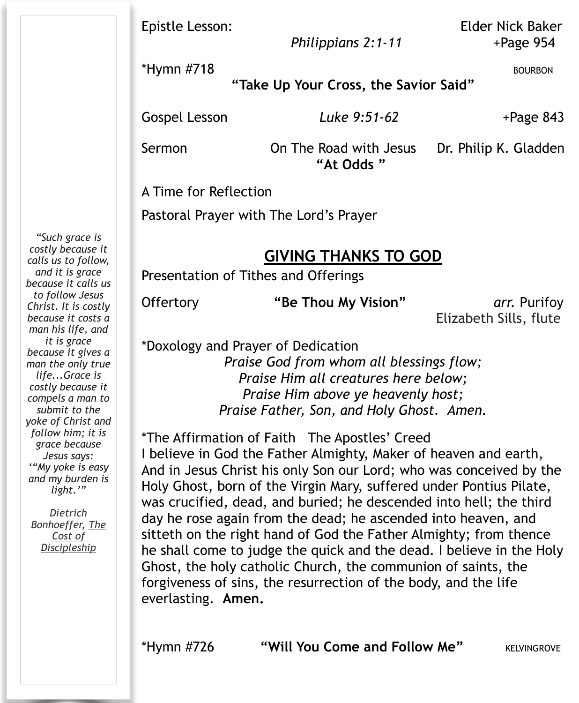| Epistle Lesson: |  |  |  |
|-----------------|--|--|--|
|-----------------|--|--|--|

 *Philippians 2:1-11* +Page 954

\*Hymn #718 BOURBON

**"Take Up Your Cross, the Savior Said"**

Gospel Lesson **Luke 9:51-62** +Page 843

Sermon **On The Road with Jesus** Dr. Philip K. Gladden **"At Odds "** 

A Time for Reflection

Pastoral Prayer with The Lord's Prayer

## **GIVING THANKS TO GOD**

Presentation of Tithes and Offerings

Offertory **"Be Thou My Vision"** *arr.* Purifoy

Elizabeth Sills, flute

\*Doxology and Prayer of Dedication

*Praise God from whom all blessings flow; Praise Him all creatures here below; Praise Him above ye heavenly host; Praise Father, Son, and Holy Ghost. Amen.*

\*The Affirmation of Faith The Apostles' Creed I believe in God the Father Almighty, Maker of heaven and earth, And in Jesus Christ his only Son our Lord; who was conceived by the Holy Ghost, born of the Virgin Mary, suffered under Pontius Pilate, was crucified, dead, and buried; he descended into hell; the third day he rose again from the dead; he ascended into heaven, and sitteth on the right hand of God the Father Almighty; from thence he shall come to judge the quick and the dead. I believe in the Holy Ghost, the holy catholic Church, the communion of saints, the forgiveness of sins, the resurrection of the body, and the life everlasting. **Amen.**

\*Hymn #726 **"Will You Come and Follow Me"** KELVINGROVE

*costly because it calls us to follow, and it is grace because it calls us to follow Jesus Christ. It is costly because it costs a man his life, and it is grace because it gives a man the only true life...Grace is costly because it compels a man to submit to the yoke of Christ and follow him; it is grace because Jesus says: '"My yoke is easy and my burden is light.'"* 

*"Such grace is* 

*Dietrich [Bonhoeffer,](https://www.goodreads.com/author/show/29333.Dietrich_Bonhoeffer) [The](https://www.goodreads.com/work/quotes/2723088)  Cost of Disc[ipleship](https://www.goodreads.com/work/quotes/2723088)*

**Elder Nick Baker**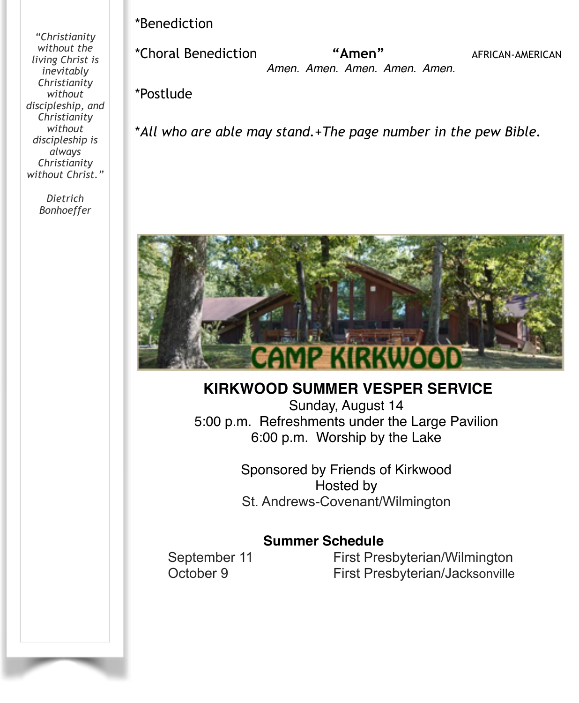*"Christianity without the living Christ is inevitably Christianity without discipleship, and Christianity without discipleship is always Christianity without Christ."*

> *Dietrich Bonhoeffer*

\*Benediction !!!!!

\*Choral Benediction **"Amen"** AFRICAN-AMERICAN  *Amen. Amen. Amen. Amen. Amen.*

\*Postlude

\**All who are able may stand.*+*The page number in the pew Bible.*



### **KIRKWOOD SUMMER VESPER SERVICE**

Sunday, August 14 5:00 p.m. Refreshments under the Large Pavilion 6:00 p.m. Worship by the Lake

> Sponsored by Friends of Kirkwood Hosted by St. Andrews-Covenant/Wilmington

#### **Summer Schedule**

September 11 First Presbyterian/Wilmington October 9 First Presbyterian/Jacksonville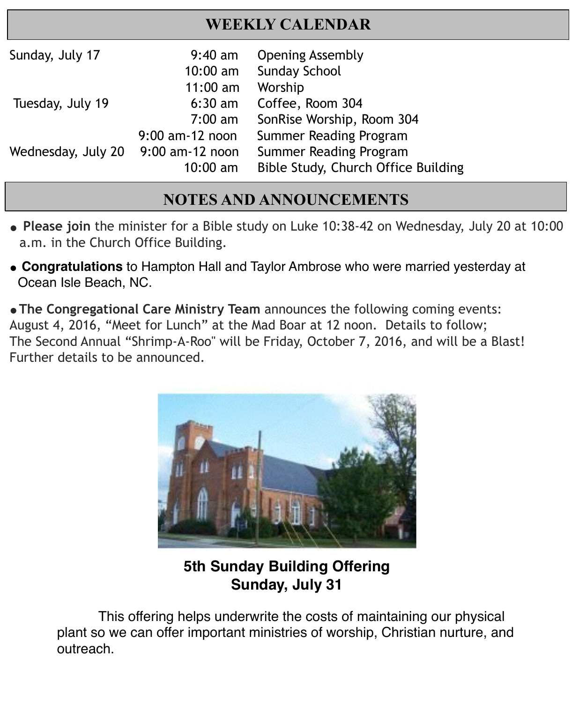## **WEEKLY CALENDAR**

| Sunday, July 17    | $9:40$ am<br>$10:00$ am | <b>Opening Assembly</b><br><b>Sunday School</b> |
|--------------------|-------------------------|-------------------------------------------------|
|                    | $11:00$ am              | Worship                                         |
| Tuesday, July 19   | $6:30$ am               | Coffee, Room 304                                |
|                    | $7:00 \text{ am}$       | SonRise Worship, Room 304                       |
|                    | 9:00 am-12 noon         | Summer Reading Program                          |
| Wednesday, July 20 | 9:00 am-12 noon         | Summer Reading Program                          |
|                    | $10:00$ am              | Bible Study, Church Office Building             |

i

#### ! ! !!!!!!! **NOTES AND ANNOUNCEMENTS**

- **" Please join** the minister for a Bible study on Luke 10:38-42 on Wednesday, July 20 at 10:00 a.m. in the Church Office Building.
- " **Congratulations** to Hampton Hall and Taylor Ambrose who were married yesterday at Ocean Isle Beach, NC.

**"The Congregational Care Ministry Team** announces the following coming events: August 4, 2016, "Meet for Lunch" at the Mad Boar at 12 noon. Details to follow; The Second Annual "Shrimp-A-Roo" will be Friday, October 7, 2016, and will be a Blast! Further details to be announced.



## **5th Sunday Building Offering Sunday, July 31**

This offering helps underwrite the costs of maintaining our physical plant so we can offer important ministries of worship, Christian nurture, and outreach.